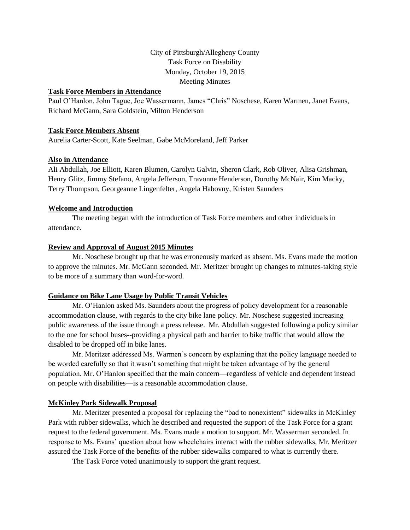# City of Pittsburgh/Allegheny County Task Force on Disability Monday, October 19, 2015 Meeting Minutes

## **Task Force Members in Attendance**

Paul O'Hanlon, John Tague, Joe Wassermann, James "Chris" Noschese, Karen Warmen, Janet Evans, Richard McGann, Sara Goldstein, Milton Henderson

### **Task Force Members Absent**

Aurelia Carter-Scott, Kate Seelman, Gabe McMoreland, Jeff Parker

### **Also in Attendance**

Ali Abdullah, Joe Elliott, Karen Blumen, Carolyn Galvin, Sheron Clark, Rob Oliver, Alisa Grishman, Henry Glitz, Jimmy Stefano, Angela Jefferson, Travonne Henderson, Dorothy McNair, Kim Macky, Terry Thompson, Georgeanne Lingenfelter, Angela Habovny, Kristen Saunders

#### **Welcome and Introduction**

The meeting began with the introduction of Task Force members and other individuals in attendance.

#### **Review and Approval of August 2015 Minutes**

Mr. Noschese brought up that he was erroneously marked as absent. Ms. Evans made the motion to approve the minutes. Mr. McGann seconded. Mr. Meritzer brought up changes to minutes-taking style to be more of a summary than word-for-word.

#### **Guidance on Bike Lane Usage by Public Transit Vehicles**

Mr. O'Hanlon asked Ms. Saunders about the progress of policy development for a reasonable accommodation clause, with regards to the city bike lane policy. Mr. Noschese suggested increasing public awareness of the issue through a press release. Mr. Abdullah suggested following a policy similar to the one for school buses--providing a physical path and barrier to bike traffic that would allow the disabled to be dropped off in bike lanes.

Mr. Meritzer addressed Ms. Warmen's concern by explaining that the policy language needed to be worded carefully so that it wasn't something that might be taken advantage of by the general population. Mr. O'Hanlon specified that the main concern—regardless of vehicle and dependent instead on people with disabilities—is a reasonable accommodation clause.

### **McKinley Park Sidewalk Proposal**

Mr. Meritzer presented a proposal for replacing the "bad to nonexistent" sidewalks in McKinley Park with rubber sidewalks, which he described and requested the support of the Task Force for a grant request to the federal government. Ms. Evans made a motion to support. Mr. Wasserman seconded. In response to Ms. Evans' question about how wheelchairs interact with the rubber sidewalks, Mr. Meritzer assured the Task Force of the benefits of the rubber sidewalks compared to what is currently there.

The Task Force voted unanimously to support the grant request.